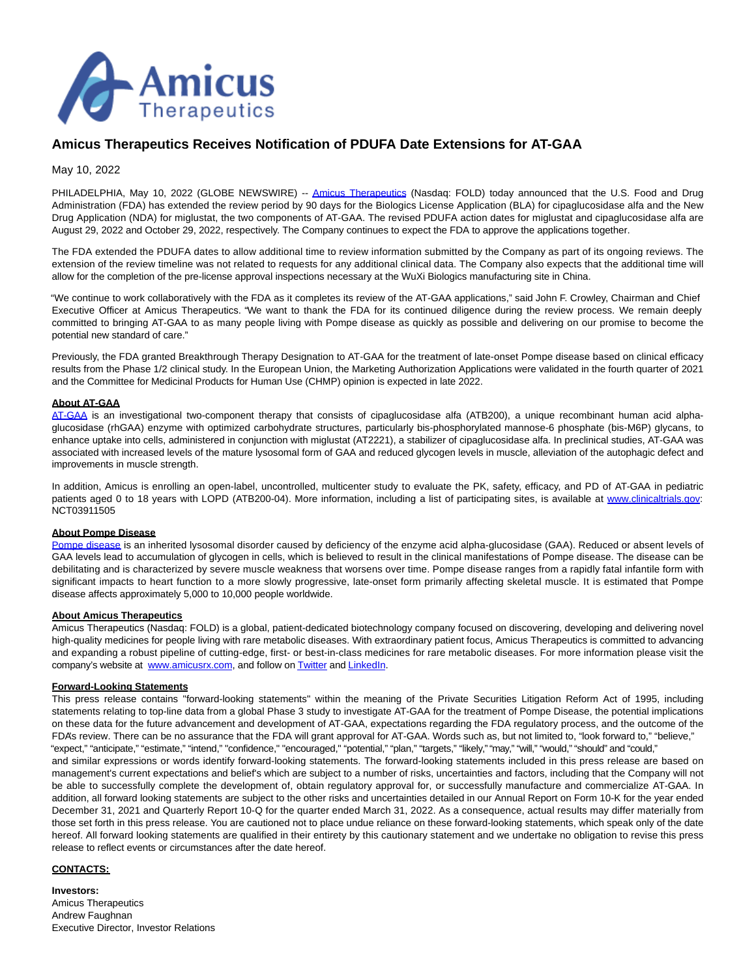

# **Amicus Therapeutics Receives Notification of PDUFA Date Extensions for AT-GAA**

May 10, 2022

PHILADELPHIA, May 10, 2022 (GLOBE NEWSWIRE) -- [Amicus Therapeutics](https://www.globenewswire.com/Tracker?data=xTwXRN9wo4XqK0aNzb3I1n33PZJLUFZuZapB2MbzoK5zkruAgYuUcwuMkIasTObApN9xcYC04POlqdUCwhPPKFbRHQ-Ra-xV3wKJtWL5O_U=) (Nasdaq: FOLD) today announced that the U.S. Food and Drug Administration (FDA) has extended the review period by 90 days for the Biologics License Application (BLA) for cipaglucosidase alfa and the New Drug Application (NDA) for miglustat, the two components of AT-GAA. The revised PDUFA action dates for miglustat and cipaglucosidase alfa are August 29, 2022 and October 29, 2022, respectively. The Company continues to expect the FDA to approve the applications together.

The FDA extended the PDUFA dates to allow additional time to review information submitted by the Company as part of its ongoing reviews. The extension of the review timeline was not related to requests for any additional clinical data. The Company also expects that the additional time will allow for the completion of the pre-license approval inspections necessary at the WuXi Biologics manufacturing site in China.

"We continue to work collaboratively with the FDA as it completes its review of the AT-GAA applications," said John F. Crowley, Chairman and Chief Executive Officer at Amicus Therapeutics. "We want to thank the FDA for its continued diligence during the review process. We remain deeply committed to bringing AT-GAA to as many people living with Pompe disease as quickly as possible and delivering on our promise to become the potential new standard of care."

Previously, the FDA granted Breakthrough Therapy Designation to AT-GAA for the treatment of late-onset Pompe disease based on clinical efficacy results from the Phase 1/2 clinical study. In the European Union, the Marketing Authorization Applications were validated in the fourth quarter of 2021 and the Committee for Medicinal Products for Human Use (CHMP) opinion is expected in late 2022.

## **About AT-GAA**

[AT-GAA](https://www.globenewswire.com/Tracker?data=83Zo2Godurzs8BiRYcPCpXda_lorzQFBwZYMGjPlpjTflCSojKMPx5icvsVuebMB03GidWlT_n_kuHzXYD_-cohib6YrmyXF5JHbz_HlFng0-bCyOVJs4ojmAxrXfcOLgycZ8kY3ibC546GbPbU8zLmyx0SV6AHr5tn3rukj41JfnX7xYwYF7VUk19FIHGKQ55I9jcT48fOznhOxoo4N7Z8rZ1KwD1rfB5xZrx7vpGEiuyv-dRZILOH9JI5SJeFl8KDNs2Sq56ByHBj0YiMbhA==) is an investigational two-component therapy that consists of cipaglucosidase alfa (ATB200), a unique recombinant human acid alphaglucosidase (rhGAA) enzyme with optimized carbohydrate structures, particularly bis-phosphorylated mannose-6 phosphate (bis-M6P) glycans, to enhance uptake into cells, administered in conjunction with miglustat (AT2221), a stabilizer of cipaglucosidase alfa. In preclinical studies, AT-GAA was associated with increased levels of the mature lysosomal form of GAA and reduced glycogen levels in muscle, alleviation of the autophagic defect and improvements in muscle strength.

In addition, Amicus is enrolling an open-label, uncontrolled, multicenter study to evaluate the PK, safety, efficacy, and PD of AT-GAA in pediatric patients aged 0 to 18 years with LOPD (ATB200-04). More information, including a list of participating sites, is available at [www.clinicaltrials.gov:](https://www.globenewswire.com/Tracker?data=51NQJzZyjz0VYM3i0xLpJJtMfNXzxpCus9n1zNWgtvXJ4Xwlcmig8NdEXaouE5xWiOMVC0_vKyP15podO3DH9jo5Wg3zm4kWEjLZY3xsHacEvwkkOjB4UeBsaw3DXlxzwqO_xEHw8vxvIz3cfKF80b_CYCc_WenU-mRMAaF8AbmMGEQ7aE9pa6CaVkpl6zmh_OcInO9Qy_PFodJhgxFS-a_cm19G3E5J05CoR_wfw663lf9NK5_sFl8mIkkfyzyNtkE54Un7ajbkG5qS_MVudw==) NCT03911505

#### **About Pompe Disease**

[Pompe disease i](https://www.globenewswire.com/Tracker?data=tQ34_RdE8an5M30mUw2qkaVo8fZRswP309_bCea2wGZIeHq3INqfpIp5B0HcTwgoW2oIcVsl5ZFyWngyR30wFeZBWSlh3GCOZVemZUuQMmdwT8osUBtNCbO1xGhGVbzjfp4dYV-KIIbFpbOGRQTUv2dLRKcCBwFVy0cmENRoQoPfpuJbMfV-tExoui5s69OYS_soPybAVzywT1_7spwL1WGnDoynhPmV3P_aFQ37tSJtjG-yd8kxlz5aI2UG_NEH)s an inherited lysosomal disorder caused by deficiency of the enzyme acid alpha-glucosidase (GAA). Reduced or absent levels of GAA levels lead to accumulation of glycogen in cells, which is believed to result in the clinical manifestations of Pompe disease. The disease can be debilitating and is characterized by severe muscle weakness that worsens over time. Pompe disease ranges from a rapidly fatal infantile form with significant impacts to heart function to a more slowly progressive, late-onset form primarily affecting skeletal muscle. It is estimated that Pompe disease affects approximately 5,000 to 10,000 people worldwide.

## **About Amicus Therapeutics**

Amicus Therapeutics (Nasdaq: FOLD) is a global, patient-dedicated biotechnology company focused on discovering, developing and delivering novel high-quality medicines for people living with rare metabolic diseases. With extraordinary patient focus, Amicus Therapeutics is committed to advancing and expanding a robust pipeline of cutting-edge, first- or best-in-class medicines for rare metabolic diseases. For more information please visit the company's website at [www.amicusrx.com,](https://www.globenewswire.com/Tracker?data=ZA9vtO1yc9b8rDDUzCuBeKn1LqIjalmfRBH1kUmMKb5zSK9hB4Cr5IquknjFdLcNLqbgLaY7q8NCXwR1u7IkJQ==) and follow o[n Twitter a](https://www.globenewswire.com/Tracker?data=9VfVDEzRV1xwhrqVxFaZYF2yaIqmc8937Hdd70c504Wq6fHhPLnPpkZvXfIGE018fUxt8V1wzV7BvrEqWPcxwg==)n[d LinkedIn.](https://www.globenewswire.com/Tracker?data=h68pQdFMKNw5mudI_UPw6dJBQt6F71WXV1Yn6o3bjx-eZ6HD2ypUwJIQRX55zPaNqyOeLpGifwgisVNa9y5D32GSuHzdpvCdqAfRC1klgqaeGEypbQj1DEvHKfteJrA2)

#### **Forward-Looking Statements**

This press release contains "forward-looking statements" within the meaning of the Private Securities Litigation Reform Act of 1995, including statements relating to top-line data from a global Phase 3 study to investigate AT-GAA for the treatment of Pompe Disease, the potential implications on these data for the future advancement and development of AT-GAA, expectations regarding the FDA regulatory process, and the outcome of the FDA's review. There can be no assurance that the FDA will grant approval for AT-GAA. Words such as, but not limited to, "look forward to," "believe," "expect," "anticipate," "estimate," "intend," "confidence," "encouraged," "potential," "plan," "targets," "likely," "may," "will," "would," "should" and "could,"

and similar expressions or words identify forward-looking statements. The forward-looking statements included in this press release are based on management's current expectations and belief's which are subject to a number of risks, uncertainties and factors, including that the Company will not be able to successfully complete the development of, obtain regulatory approval for, or successfully manufacture and commercialize AT-GAA. In addition, all forward looking statements are subject to the other risks and uncertainties detailed in our Annual Report on Form 10-K for the year ended December 31, 2021 and Quarterly Report 10-Q for the quarter ended March 31, 2022. As a consequence, actual results may differ materially from those set forth in this press release. You are cautioned not to place undue reliance on these forward-looking statements, which speak only of the date hereof. All forward looking statements are qualified in their entirety by this cautionary statement and we undertake no obligation to revise this press release to reflect events or circumstances after the date hereof.

## **CONTACTS:**

**Investors:** Amicus Therapeutics Andrew Faughnan Executive Director, Investor Relations